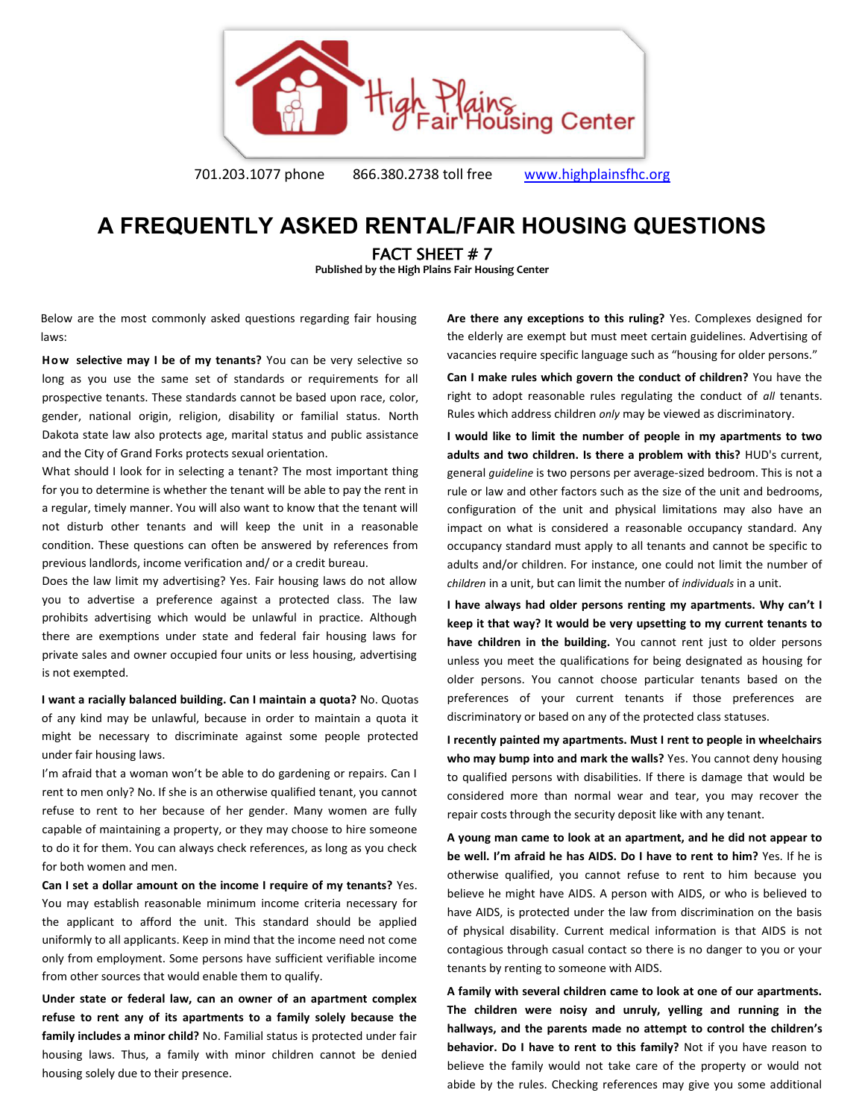

701.203.1077 phone 866.380.2738 toll free [www.highplainsfhc.org](http://www.highplainsfhc.org/)

## **A FREQUENTLY ASKED RENTAL/FAIR HOUSING QUESTIONS**

FACT SHEET # 7

**Published by the High Plains Fair Housing Center** 

Below are the most commonly asked questions regarding fair housing laws:

**How selective may I be of my tenants?** You can be very selective so long as you use the same set of standards or requirements for all prospective tenants. These standards cannot be based upon race, color, gender, national origin, religion, disability or familial status. North Dakota state law also protects age, marital status and public assistance and the City of Grand Forks protects sexual orientation.

What should I look for in selecting a tenant? The most important thing for you to determine is whether the tenant will be able to pay the rent in a regular, timely manner. You will also want to know that the tenant will not disturb other tenants and will keep the unit in a reasonable condition. These questions can often be answered by references from previous landlords, income verification and/ or a credit bureau.

Does the law limit my advertising? Yes. Fair housing laws do not allow you to advertise a preference against a protected class. The law prohibits advertising which would be unlawful in practice. Although there are exemptions under state and federal fair housing laws for private sales and owner occupied four units or less housing, advertising is not exempted.

**I want a racially balanced building. Can I maintain a quota?** No. Quotas of any kind may be unlawful, because in order to maintain a quota it might be necessary to discriminate against some people protected under fair housing laws.

I'm afraid that a woman won't be able to do gardening or repairs. Can I rent to men only? No. If she is an otherwise qualified tenant, you cannot refuse to rent to her because of her gender. Many women are fully capable of maintaining a property, or they may choose to hire someone to do it for them. You can always check references, as long as you check for both women and men.

**Can I set a dollar amount on the income I require of my tenants?** Yes. You may establish reasonable minimum income criteria necessary for the applicant to afford the unit. This standard should be applied uniformly to all applicants. Keep in mind that the income need not come only from employment. Some persons have sufficient verifiable income from other sources that would enable them to qualify.

**Under state or federal law, can an owner of an apartment complex refuse to rent any of its apartments to a family solely because the family includes a minor child?** No. Familial status is protected under fair housing laws. Thus, a family with minor children cannot be denied housing solely due to their presence.

**Are there any exceptions to this ruling?** Yes. Complexes designed for the elderly are exempt but must meet certain guidelines. Advertising of vacancies require specific language such as "housing for older persons."

**Can I make rules which govern the conduct of children?** You have the right to adopt reasonable rules regulating the conduct of *all* tenants. Rules which address children *only* may be viewed as discriminatory.

**I would like to limit the number of people in my apartments to two adults and two children. Is there a problem with this?** HUD's current, general *guideline* is two persons per average-sized bedroom. This is not a rule or law and other factors such as the size of the unit and bedrooms, configuration of the unit and physical limitations may also have an impact on what is considered a reasonable occupancy standard. Any occupancy standard must apply to all tenants and cannot be specific to adults and/or children. For instance, one could not limit the number of *children* in a unit, but can limit the number of *individuals* in a unit.

**I have always had older persons renting my apartments. Why can't I keep it that way? It would be very upsetting to my current tenants to have children in the building.** You cannot rent just to older persons unless you meet the qualifications for being designated as housing for older persons. You cannot choose particular tenants based on the preferences of your current tenants if those preferences are discriminatory or based on any of the protected class statuses.

**I recently painted my apartments. Must I rent to people in wheelchairs who may bump into and mark the walls?** Yes. You cannot deny housing to qualified persons with disabilities. If there is damage that would be considered more than normal wear and tear, you may recover the repair costs through the security deposit like with any tenant.

**A young man came to look at an apartment, and he did not appear to be well. I'm afraid he has AIDS. Do I have to rent to him?** Yes. If he is otherwise qualified, you cannot refuse to rent to him because you believe he might have AIDS. A person with AIDS, or who is believed to have AIDS, is protected under the law from discrimination on the basis of physical disability. Current medical information is that AIDS is not contagious through casual contact so there is no danger to you or your tenants by renting to someone with AIDS.

**A family with several children came to look at one of our apartments. The children were noisy and unruly, yelling and running in the hallways, and the parents made no attempt to control the children's behavior. Do I have to rent to this family?** Not if you have reason to believe the family would not take care of the property or would not abide by the rules. Checking references may give you some additional